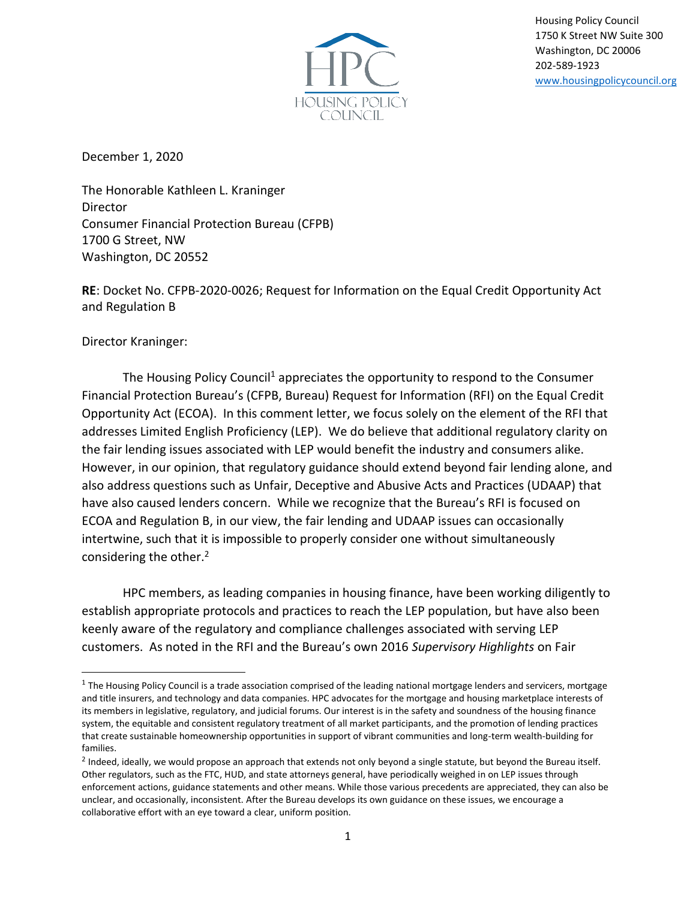

Housing Policy Council 1750 K Street NW Suite 300 Washington, DC 20006 202-589-1923 [www.housingpolicycouncil.org](http://www.housingpolicycouncil.org/)

December 1, 2020

The Honorable Kathleen L. Kraninger Director Consumer Financial Protection Bureau (CFPB) 1700 G Street, NW Washington, DC 20552

**RE**: Docket No. CFPB-2020-0026; Request for Information on the Equal Credit Opportunity Act and Regulation B

Director Kraninger:

The Housing Policy Council<sup>1</sup> appreciates the opportunity to respond to the Consumer Financial Protection Bureau's (CFPB, Bureau) Request for Information (RFI) on the Equal Credit Opportunity Act (ECOA). In this comment letter, we focus solely on the element of the RFI that addresses Limited English Proficiency (LEP). We do believe that additional regulatory clarity on the fair lending issues associated with LEP would benefit the industry and consumers alike. However, in our opinion, that regulatory guidance should extend beyond fair lending alone, and also address questions such as Unfair, Deceptive and Abusive Acts and Practices (UDAAP) that have also caused lenders concern. While we recognize that the Bureau's RFI is focused on ECOA and Regulation B, in our view, the fair lending and UDAAP issues can occasionally intertwine, such that it is impossible to properly consider one without simultaneously considering the other.<sup>2</sup>

HPC members, as leading companies in housing finance, have been working diligently to establish appropriate protocols and practices to reach the LEP population, but have also been keenly aware of the regulatory and compliance challenges associated with serving LEP customers. As noted in the RFI and the Bureau's own 2016 *Supervisory Highlights* on Fair

 $^1$  The Housing Policy Council is a trade association comprised of the leading national mortgage lenders and servicers, mortgage and title insurers, and technology and data companies. HPC advocates for the mortgage and housing marketplace interests of its members in legislative, regulatory, and judicial forums. Our interest is in the safety and soundness of the housing finance system, the equitable and consistent regulatory treatment of all market participants, and the promotion of lending practices that create sustainable homeownership opportunities in support of vibrant communities and long-term wealth-building for families.

 $^2$  Indeed, ideally, we would propose an approach that extends not only beyond a single statute, but beyond the Bureau itself. Other regulators, such as the FTC, HUD, and state attorneys general, have periodically weighed in on LEP issues through enforcement actions, guidance statements and other means. While those various precedents are appreciated, they can also be unclear, and occasionally, inconsistent. After the Bureau develops its own guidance on these issues, we encourage a collaborative effort with an eye toward a clear, uniform position.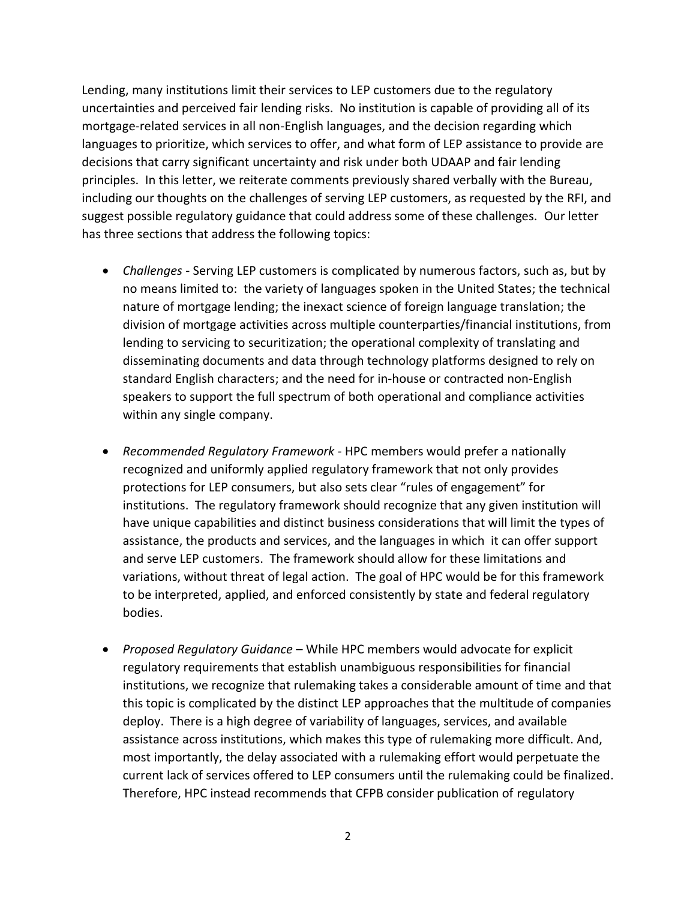Lending, many institutions limit their services to LEP customers due to the regulatory uncertainties and perceived fair lending risks. No institution is capable of providing all of its mortgage-related services in all non-English languages, and the decision regarding which languages to prioritize, which services to offer, and what form of LEP assistance to provide are decisions that carry significant uncertainty and risk under both UDAAP and fair lending principles. In this letter, we reiterate comments previously shared verbally with the Bureau, including our thoughts on the challenges of serving LEP customers, as requested by the RFI, and suggest possible regulatory guidance that could address some of these challenges. Our letter has three sections that address the following topics:

- *Challenges -* Serving LEP customers is complicated by numerous factors, such as, but by no means limited to: the variety of languages spoken in the United States; the technical nature of mortgage lending; the inexact science of foreign language translation; the division of mortgage activities across multiple counterparties/financial institutions, from lending to servicing to securitization; the operational complexity of translating and disseminating documents and data through technology platforms designed to rely on standard English characters; and the need for in-house or contracted non-English speakers to support the full spectrum of both operational and compliance activities within any single company.
- *Recommended Regulatory Framework -* HPC members would prefer a nationally recognized and uniformly applied regulatory framework that not only provides protections for LEP consumers, but also sets clear "rules of engagement" for institutions. The regulatory framework should recognize that any given institution will have unique capabilities and distinct business considerations that will limit the types of assistance, the products and services, and the languages in which it can offer support and serve LEP customers. The framework should allow for these limitations and variations, without threat of legal action. The goal of HPC would be for this framework to be interpreted, applied, and enforced consistently by state and federal regulatory bodies.
- *Proposed Regulatory Guidance* While HPC members would advocate for explicit regulatory requirements that establish unambiguous responsibilities for financial institutions, we recognize that rulemaking takes a considerable amount of time and that this topic is complicated by the distinct LEP approaches that the multitude of companies deploy. There is a high degree of variability of languages, services, and available assistance across institutions, which makes this type of rulemaking more difficult. And, most importantly, the delay associated with a rulemaking effort would perpetuate the current lack of services offered to LEP consumers until the rulemaking could be finalized. Therefore, HPC instead recommends that CFPB consider publication of regulatory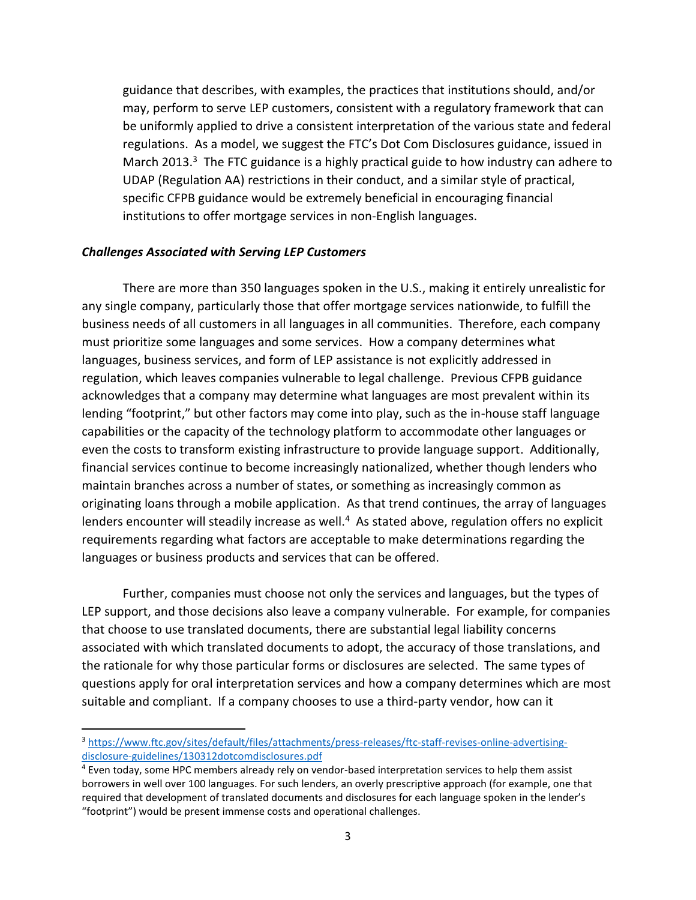guidance that describes, with examples, the practices that institutions should, and/or may, perform to serve LEP customers, consistent with a regulatory framework that can be uniformly applied to drive a consistent interpretation of the various state and federal regulations. As a model, we suggest the FTC's Dot Com Disclosures guidance, issued in March 2013.<sup>3</sup> The FTC guidance is a highly practical guide to how industry can adhere to UDAP (Regulation AA) restrictions in their conduct, and a similar style of practical, specific CFPB guidance would be extremely beneficial in encouraging financial institutions to offer mortgage services in non-English languages.

## *Challenges Associated with Serving LEP Customers*

There are more than 350 languages spoken in the U.S., making it entirely unrealistic for any single company, particularly those that offer mortgage services nationwide, to fulfill the business needs of all customers in all languages in all communities. Therefore, each company must prioritize some languages and some services. How a company determines what languages, business services, and form of LEP assistance is not explicitly addressed in regulation, which leaves companies vulnerable to legal challenge. Previous CFPB guidance acknowledges that a company may determine what languages are most prevalent within its lending "footprint," but other factors may come into play, such as the in-house staff language capabilities or the capacity of the technology platform to accommodate other languages or even the costs to transform existing infrastructure to provide language support. Additionally, financial services continue to become increasingly nationalized, whether though lenders who maintain branches across a number of states, or something as increasingly common as originating loans through a mobile application. As that trend continues, the array of languages lenders encounter will steadily increase as well.<sup>4</sup> As stated above, regulation offers no explicit requirements regarding what factors are acceptable to make determinations regarding the languages or business products and services that can be offered.

Further, companies must choose not only the services and languages, but the types of LEP support, and those decisions also leave a company vulnerable. For example, for companies that choose to use translated documents, there are substantial legal liability concerns associated with which translated documents to adopt, the accuracy of those translations, and the rationale for why those particular forms or disclosures are selected. The same types of questions apply for oral interpretation services and how a company determines which are most suitable and compliant. If a company chooses to use a third-party vendor, how can it

<sup>3</sup> [https://www.ftc.gov/sites/default/files/attachments/press-releases/ftc-staff-revises-online-advertising](https://www.ftc.gov/sites/default/files/attachments/press-releases/ftc-staff-revises-online-advertising-disclosure-guidelines/130312dotcomdisclosures.pdf)[disclosure-guidelines/130312dotcomdisclosures.pdf](https://www.ftc.gov/sites/default/files/attachments/press-releases/ftc-staff-revises-online-advertising-disclosure-guidelines/130312dotcomdisclosures.pdf)

<sup>4</sup> Even today, some HPC members already rely on vendor-based interpretation services to help them assist borrowers in well over 100 languages. For such lenders, an overly prescriptive approach (for example, one that required that development of translated documents and disclosures for each language spoken in the lender's "footprint") would be present immense costs and operational challenges.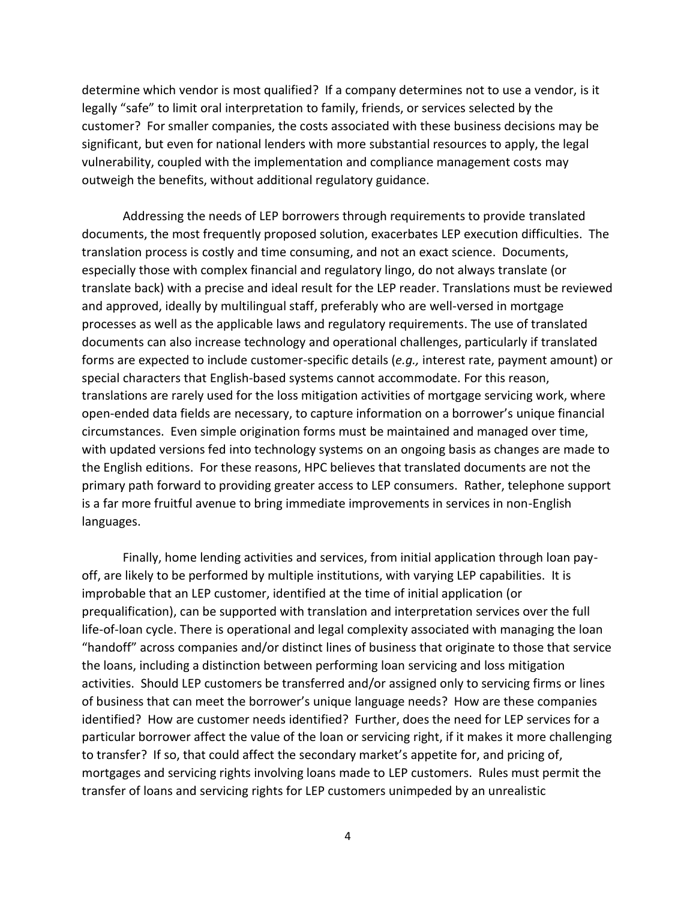determine which vendor is most qualified? If a company determines not to use a vendor, is it legally "safe" to limit oral interpretation to family, friends, or services selected by the customer? For smaller companies, the costs associated with these business decisions may be significant, but even for national lenders with more substantial resources to apply, the legal vulnerability, coupled with the implementation and compliance management costs may outweigh the benefits, without additional regulatory guidance.

Addressing the needs of LEP borrowers through requirements to provide translated documents, the most frequently proposed solution, exacerbates LEP execution difficulties. The translation process is costly and time consuming, and not an exact science. Documents, especially those with complex financial and regulatory lingo, do not always translate (or translate back) with a precise and ideal result for the LEP reader. Translations must be reviewed and approved, ideally by multilingual staff, preferably who are well-versed in mortgage processes as well as the applicable laws and regulatory requirements. The use of translated documents can also increase technology and operational challenges, particularly if translated forms are expected to include customer-specific details (*e.g.,* interest rate, payment amount) or special characters that English-based systems cannot accommodate. For this reason, translations are rarely used for the loss mitigation activities of mortgage servicing work, where open-ended data fields are necessary, to capture information on a borrower's unique financial circumstances. Even simple origination forms must be maintained and managed over time, with updated versions fed into technology systems on an ongoing basis as changes are made to the English editions. For these reasons, HPC believes that translated documents are not the primary path forward to providing greater access to LEP consumers. Rather, telephone support is a far more fruitful avenue to bring immediate improvements in services in non-English languages.

Finally, home lending activities and services, from initial application through loan payoff, are likely to be performed by multiple institutions, with varying LEP capabilities. It is improbable that an LEP customer, identified at the time of initial application (or prequalification), can be supported with translation and interpretation services over the full life-of-loan cycle. There is operational and legal complexity associated with managing the loan "handoff" across companies and/or distinct lines of business that originate to those that service the loans, including a distinction between performing loan servicing and loss mitigation activities. Should LEP customers be transferred and/or assigned only to servicing firms or lines of business that can meet the borrower's unique language needs? How are these companies identified? How are customer needs identified? Further, does the need for LEP services for a particular borrower affect the value of the loan or servicing right, if it makes it more challenging to transfer? If so, that could affect the secondary market's appetite for, and pricing of, mortgages and servicing rights involving loans made to LEP customers. Rules must permit the transfer of loans and servicing rights for LEP customers unimpeded by an unrealistic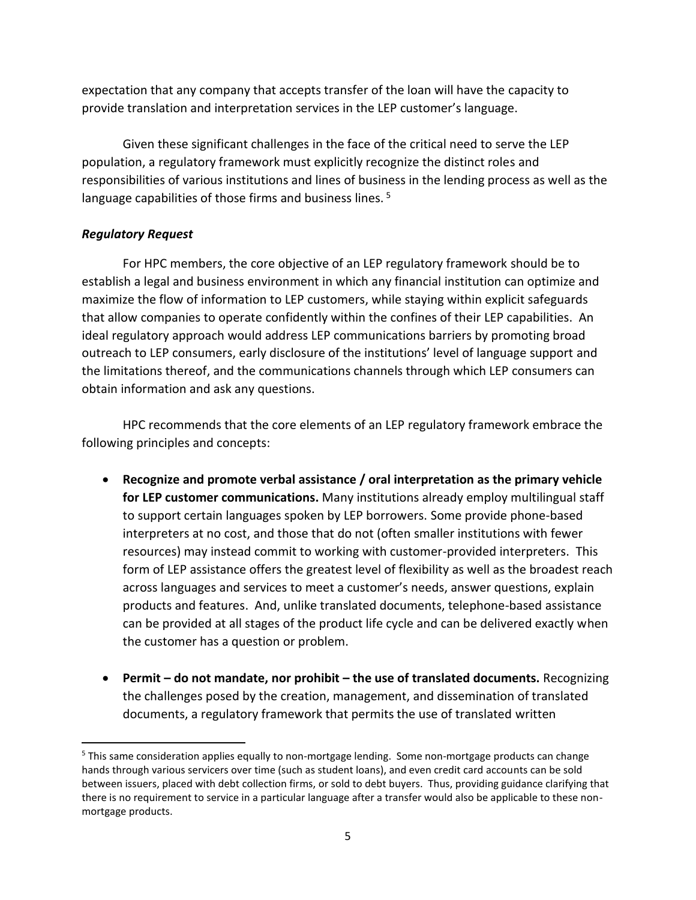expectation that any company that accepts transfer of the loan will have the capacity to provide translation and interpretation services in the LEP customer's language.

Given these significant challenges in the face of the critical need to serve the LEP population, a regulatory framework must explicitly recognize the distinct roles and responsibilities of various institutions and lines of business in the lending process as well as the language capabilities of those firms and business lines.<sup>5</sup>

## *Regulatory Request*

For HPC members, the core objective of an LEP regulatory framework should be to establish a legal and business environment in which any financial institution can optimize and maximize the flow of information to LEP customers, while staying within explicit safeguards that allow companies to operate confidently within the confines of their LEP capabilities. An ideal regulatory approach would address LEP communications barriers by promoting broad outreach to LEP consumers, early disclosure of the institutions' level of language support and the limitations thereof, and the communications channels through which LEP consumers can obtain information and ask any questions.

HPC recommends that the core elements of an LEP regulatory framework embrace the following principles and concepts:

- **Recognize and promote verbal assistance / oral interpretation as the primary vehicle for LEP customer communications.** Many institutions already employ multilingual staff to support certain languages spoken by LEP borrowers. Some provide phone-based interpreters at no cost, and those that do not (often smaller institutions with fewer resources) may instead commit to working with customer-provided interpreters. This form of LEP assistance offers the greatest level of flexibility as well as the broadest reach across languages and services to meet a customer's needs, answer questions, explain products and features. And, unlike translated documents, telephone-based assistance can be provided at all stages of the product life cycle and can be delivered exactly when the customer has a question or problem.
- **Permit – do not mandate, nor prohibit – the use of translated documents.** Recognizing the challenges posed by the creation, management, and dissemination of translated documents, a regulatory framework that permits the use of translated written

<sup>&</sup>lt;sup>5</sup> This same consideration applies equally to non-mortgage lending. Some non-mortgage products can change hands through various servicers over time (such as student loans), and even credit card accounts can be sold between issuers, placed with debt collection firms, or sold to debt buyers. Thus, providing guidance clarifying that there is no requirement to service in a particular language after a transfer would also be applicable to these nonmortgage products.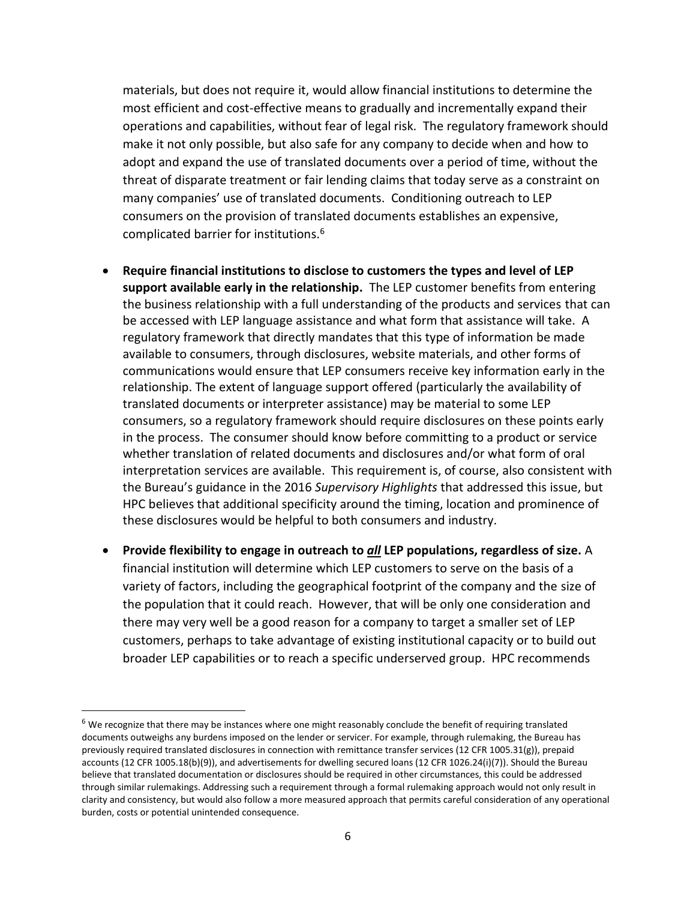materials, but does not require it, would allow financial institutions to determine the most efficient and cost-effective means to gradually and incrementally expand their operations and capabilities, without fear of legal risk. The regulatory framework should make it not only possible, but also safe for any company to decide when and how to adopt and expand the use of translated documents over a period of time, without the threat of disparate treatment or fair lending claims that today serve as a constraint on many companies' use of translated documents. Conditioning outreach to LEP consumers on the provision of translated documents establishes an expensive, complicated barrier for institutions.<sup>6</sup>

- **Require financial institutions to disclose to customers the types and level of LEP support available early in the relationship.** The LEP customer benefits from entering the business relationship with a full understanding of the products and services that can be accessed with LEP language assistance and what form that assistance will take. A regulatory framework that directly mandates that this type of information be made available to consumers, through disclosures, website materials, and other forms of communications would ensure that LEP consumers receive key information early in the relationship. The extent of language support offered (particularly the availability of translated documents or interpreter assistance) may be material to some LEP consumers, so a regulatory framework should require disclosures on these points early in the process. The consumer should know before committing to a product or service whether translation of related documents and disclosures and/or what form of oral interpretation services are available. This requirement is, of course, also consistent with the Bureau's guidance in the 2016 *Supervisory Highlights* that addressed this issue, but HPC believes that additional specificity around the timing, location and prominence of these disclosures would be helpful to both consumers and industry.
- **Provide flexibility to engage in outreach to** *all* **LEP populations, regardless of size.** A financial institution will determine which LEP customers to serve on the basis of a variety of factors, including the geographical footprint of the company and the size of the population that it could reach. However, that will be only one consideration and there may very well be a good reason for a company to target a smaller set of LEP customers, perhaps to take advantage of existing institutional capacity or to build out broader LEP capabilities or to reach a specific underserved group. HPC recommends

 $6$  We recognize that there may be instances where one might reasonably conclude the benefit of requiring translated documents outweighs any burdens imposed on the lender or servicer. For example, through rulemaking, the Bureau has previously required translated disclosures in connection with remittance transfer services (12 CFR 1005.31(g)), prepaid accounts (12 CFR 1005.18(b)(9)), and advertisements for dwelling secured loans (12 CFR 1026.24(i)(7)). Should the Bureau believe that translated documentation or disclosures should be required in other circumstances, this could be addressed through similar rulemakings. Addressing such a requirement through a formal rulemaking approach would not only result in clarity and consistency, but would also follow a more measured approach that permits careful consideration of any operational burden, costs or potential unintended consequence.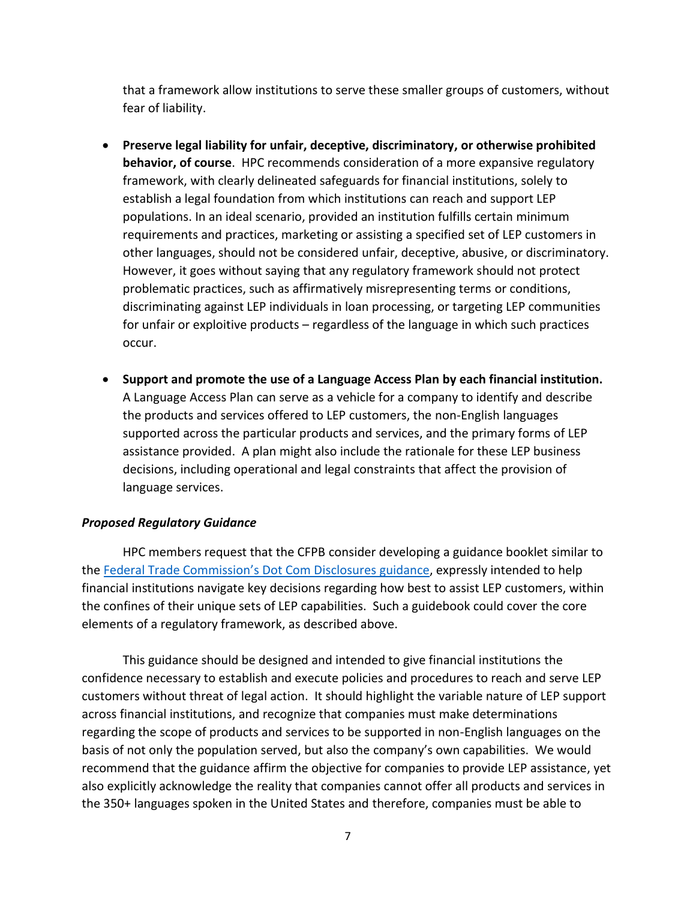that a framework allow institutions to serve these smaller groups of customers, without fear of liability.

- **Preserve legal liability for unfair, deceptive, discriminatory, or otherwise prohibited behavior, of course**. HPC recommends consideration of a more expansive regulatory framework, with clearly delineated safeguards for financial institutions, solely to establish a legal foundation from which institutions can reach and support LEP populations. In an ideal scenario, provided an institution fulfills certain minimum requirements and practices, marketing or assisting a specified set of LEP customers in other languages, should not be considered unfair, deceptive, abusive, or discriminatory. However, it goes without saying that any regulatory framework should not protect problematic practices, such as affirmatively misrepresenting terms or conditions, discriminating against LEP individuals in loan processing, or targeting LEP communities for unfair or exploitive products – regardless of the language in which such practices occur.
- **Support and promote the use of a Language Access Plan by each financial institution.**  A Language Access Plan can serve as a vehicle for a company to identify and describe the products and services offered to LEP customers, the non-English languages supported across the particular products and services, and the primary forms of LEP assistance provided. A plan might also include the rationale for these LEP business decisions, including operational and legal constraints that affect the provision of language services.

## *Proposed Regulatory Guidance*

HPC members request that the CFPB consider developing a guidance booklet similar to the [Federal Trade Commission's Dot Com Dis](https://www.ftc.gov/news-events/press-releases/2013/03/ftc-staff-revises-online-advertising-disclosure-guidelines)closures guidance, expressly intended to help financial institutions navigate key decisions regarding how best to assist LEP customers, within the confines of their unique sets of LEP capabilities. Such a guidebook could cover the core elements of a regulatory framework, as described above.

This guidance should be designed and intended to give financial institutions the confidence necessary to establish and execute policies and procedures to reach and serve LEP customers without threat of legal action. It should highlight the variable nature of LEP support across financial institutions, and recognize that companies must make determinations regarding the scope of products and services to be supported in non-English languages on the basis of not only the population served, but also the company's own capabilities. We would recommend that the guidance affirm the objective for companies to provide LEP assistance, yet also explicitly acknowledge the reality that companies cannot offer all products and services in the 350+ languages spoken in the United States and therefore, companies must be able to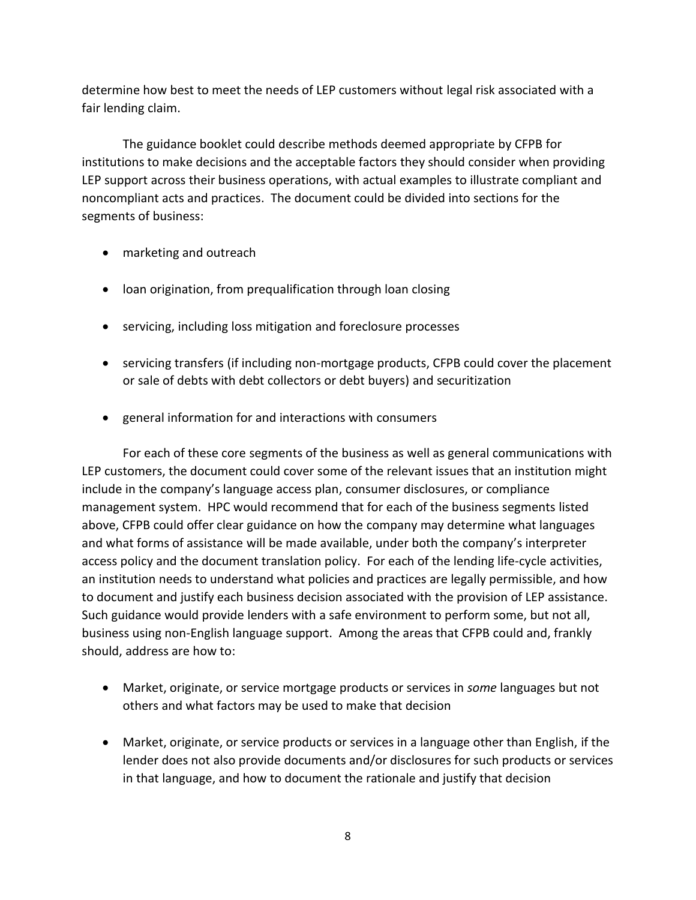determine how best to meet the needs of LEP customers without legal risk associated with a fair lending claim.

The guidance booklet could describe methods deemed appropriate by CFPB for institutions to make decisions and the acceptable factors they should consider when providing LEP support across their business operations, with actual examples to illustrate compliant and noncompliant acts and practices. The document could be divided into sections for the segments of business:

- marketing and outreach
- loan origination, from prequalification through loan closing
- servicing, including loss mitigation and foreclosure processes
- servicing transfers (if including non-mortgage products, CFPB could cover the placement or sale of debts with debt collectors or debt buyers) and securitization
- general information for and interactions with consumers

For each of these core segments of the business as well as general communications with LEP customers, the document could cover some of the relevant issues that an institution might include in the company's language access plan, consumer disclosures, or compliance management system. HPC would recommend that for each of the business segments listed above, CFPB could offer clear guidance on how the company may determine what languages and what forms of assistance will be made available, under both the company's interpreter access policy and the document translation policy. For each of the lending life-cycle activities, an institution needs to understand what policies and practices are legally permissible, and how to document and justify each business decision associated with the provision of LEP assistance. Such guidance would provide lenders with a safe environment to perform some, but not all, business using non-English language support. Among the areas that CFPB could and, frankly should, address are how to:

- Market, originate, or service mortgage products or services in *some* languages but not others and what factors may be used to make that decision
- Market, originate, or service products or services in a language other than English, if the lender does not also provide documents and/or disclosures for such products or services in that language, and how to document the rationale and justify that decision